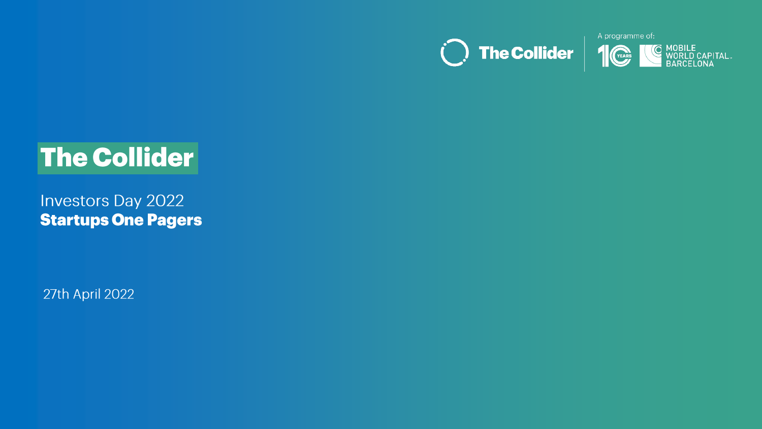



# **The Collider**

**Investors Day 2022 Startups One Pagers** 

27th April 2022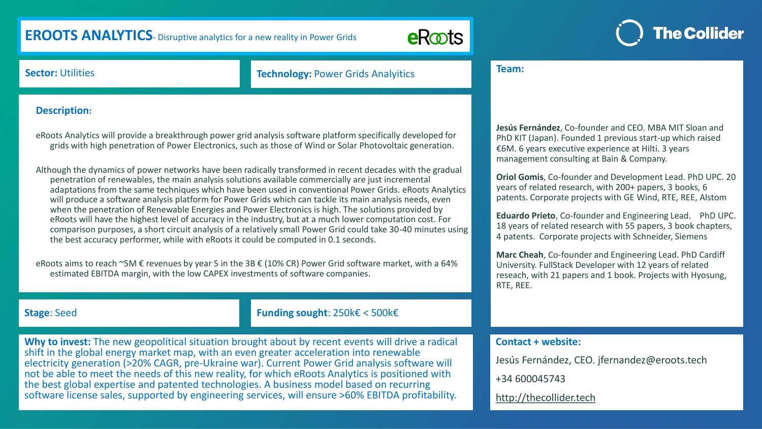# **EROOTS ANALYTICS**- Disruptive analytics for a new reality in Power Grids



**Team:**

# **The Collider**

### **Sector: Utilities <b>Technology: Power Grids Analyitics**

#### **Description:**

eRoots Analytics will provide a breakthrough power grid analysis software platform specifically developed for grids with high penetration of Power Electronics, such as those of Wind or Solar Photovoltaic generation.

Although the dynamics of power networks have been radically transformed in recent decades with the gradual penetration of renewables, the main analysis solutions available commercially are just incremental adaptations from the same techniques which have been used in conventional Power Grids. eRoots Analytics will produce a software analysis platform for Power Grids which can tackle its main analysis needs, even when the penetration of Renewable Energies and Power Electronics is high. The solutions provided by eRoots will have the highest level of accuracy in the industry, but at a much lower computation cost. For comparison purposes, a short circuit analysis of a relatively small Power Grid could take 30-40 minutes using the best accuracy performer, while with eRoots it could be computed in 0.1 seconds.

eRoots aims to reach ~5M € revenues by year 5 in the 3B € (10% CR) Power Grid software market, with a 64% estimated EBITDA margin, with the low CAPEX investments of software companies.

**Stage**: Seed **Funding sought**: 250k€ < 500k€

Why to invest: The new geopolitical situation brought about by recent events will drive a radical shift in the global energy market map, with an even greater acceleration into renewable electricity generation (>20% CAGR, pre-Ukraine war). Current Power Grid analysis software will not be able to meet the needs of this new reality, for which eRoots Analytics is positioned with the best global expertise and patented technologies. A business model based on recurring software license sales, supported by engineering services, will ensure >60% EBITDA profitability.

# **Jesús Fernández**, Co-founder and CEO. MBA MIT Sloan and PhD KIT (Japan). Founded 1 previous start-up which raised €6M. 6 years executive experience at Hilti. 3 years

management consulting at Bain & Company.

**Oriol Gomis**, Co-founder and Development Lead. PhD UPC. 20 years of related research, with 200+ papers, 3 books, 6 patents. Corporate projects with GE Wind, RTE, REE, Alstom

**Eduardo Prieto**, Co-founder and Engineering Lead. PhD UPC. 18 years of related research with 55 papers, 3 book chapters, 4 patents. Corporate projects with Schneider, Siemens

**Marc Cheah**, Co-founder and Engineering Lead. PhD Cardiff University. FullStack Developer with 12 years of related reseach, with 21 papers and 1 book. Projects with Hyosung, RTE, REE.

#### **Contact + website:**

Jesús Fernández, CEO. jfernandez@eroots.tech

+34 600045743

[http://thecollider.tech](http://thecollider.tech/)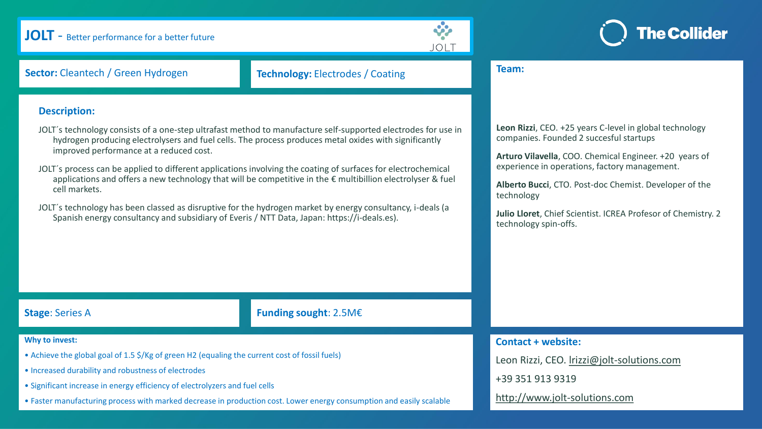## **JOLT** - Better performance for a better future





**Sector:** Cleantech / Green Hydrogen **Technology:** Electrodes / Coating

#### **Description:**

JOLT´s technology consists of a one-step ultrafast method to manufacture self-supported electrodes for use in hydrogen producing electrolysers and fuel cells. The process produces metal oxides with significantly improved performance at a reduced cost.

JOLT´s process can be applied to different applications involving the coating of surfaces for electrochemical applications and offers a new technology that will be competitive in the  $\epsilon$  multibillion electrolyser & fuel cell markets.

JOLT´s technology has been classed as disruptive for the hydrogen market by energy consultancy, i-deals (a Spanish energy consultancy and subsidiary of Everis / NTT Data, Japan: https://i-deals.es).

#### **Team:**

**Leon Rizzi**, CEO. +25 years C-level in global technology companies. Founded 2 succesful startups

**Arturo Vilavella**, COO. Chemical Engineer. +20 years of experience in operations, factory management.

**Alberto Bucci**, CTO. Post-doc Chemist. Developer of the technology

**Julio Lloret**, Chief Scientist. ICREA Profesor of Chemistry. 2 technology spin-offs.

#### **Stage**: Series A **Funding sought**: 2.5M€

#### **Why to invest:**

- Achieve the global goal of 1.5 \$/Kg of green H2 (equaling the current cost of fossil fuels)
- Increased durability and robustness of electrodes
- Significant increase in energy efficiency of electrolyzers and fuel cells
- Faster manufacturing process with marked decrease in production cost. Lower energy consumption and easily scalable

#### **Contact + website:**

Leon Rizzi, CEO. [lrizzi@jolt-solutions.com](mailto:lrizzi@jolt-solutions.com)

+39 351 913 9319

[http://www.jolt-solutions.com](http://www.jolt-solutions.com/)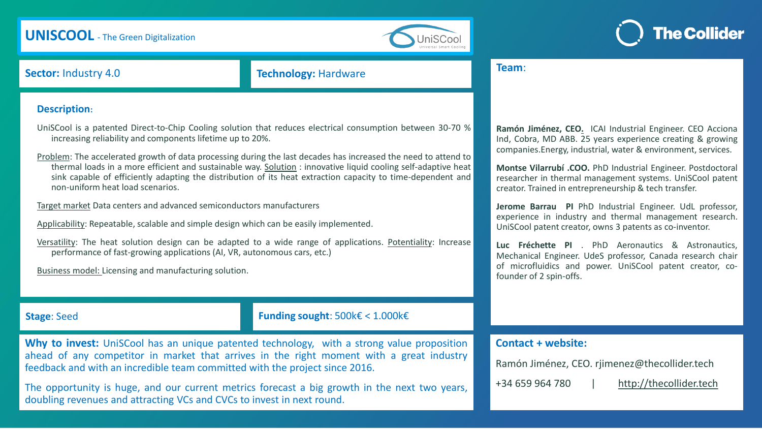# **UNISCOOL** - The Green Digitalization





**Sector:** Industry 4.0 **Technology:** Hardware

#### **Description:**

UniSCool is a patented Direct-to-Chip Cooling solution that reduces electrical consumption between 30-70 % increasing reliability and components lifetime up to 20%.

Problem: The accelerated growth of data processing during the last decades has increased the need to attend to thermal loads in a more efficient and sustainable way. Solution : innovative liquid cooling self-adaptive heat sink capable of efficiently adapting the distribution of its heat extraction capacity to time-dependent and non-uniform heat load scenarios.

Target market Data centers and advanced semiconductors manufacturers

Applicability: Repeatable, scalable and simple design which can be easily implemented.

Versatility: The heat solution design can be adapted to a wide range of applications. Potentiality: Increase performance of fast-growing applications (AI, VR, autonomous cars, etc.)

Business model: Licensing and manufacturing solution.

### **Stage**: Seed **Funding sought**: 500k€ < 1.000k€

**Why to invest:** UniSCool has an unique patented technology, with a strong value proposition ahead of any competitor in market that arrives in the right moment with a great industry feedback and with an incredible team committed with the project since 2016.

The opportunity is huge, and our current metrics forecast a big growth in the next two years, doubling revenues and attracting VCs and CVCs to invest in next round.

# **Ramón Jiménez, CEO.** ICAI Industrial Engineer. CEO Acciona Ind, Cobra, MD ABB. 25 years experience creating & growing

companies.Energy, industrial, water & environment, services. **Montse Vilarrubí .COO.** PhD Industrial Engineer. Postdoctoral

researcher in thermal management systems. UniSCool patent creator. Trained in entrepreneurship & tech transfer.

**Jerome Barrau PI** PhD Industrial Engineer. UdL professor, experience in industry and thermal management research. UniSCool patent creator, owns 3 patents as co-inventor.

**Luc Fréchette PI** . PhD Aeronautics & Astronautics, Mechanical Engineer. UdeS professor, Canada research chair of microfluidics and power. UniSCool patent creator, cofounder of 2 spin-offs.

#### **Contact + website:**

Ramón Jiménez, CEO. rjimenez@thecollider.tech

**Team**:

+34 659 964 780 | [http://thecollider.tech](http://thecollider.tech/)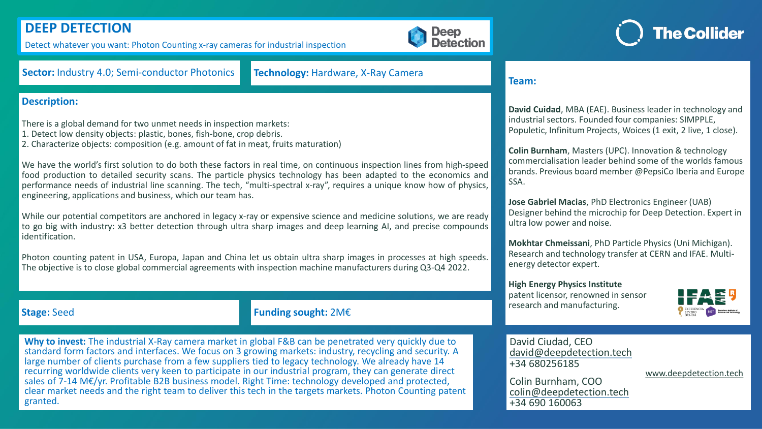# **DEEP DETECTION**

Detect whatever you want: Photon Counting x-ray cameras for industrial inspection



### **Sector:** Industry 4.0; Semi-conductor Photonics **Technology:** Hardware, X-Ray Camera

### **Description:**

There is a global demand for two unmet needs in inspection markets:

- 1. Detect low density objects: plastic, bones, fish-bone, crop debris.
- 2. Characterize objects: composition (e.g. amount of fat in meat, fruits maturation)

We have the world's first solution to do both these factors in real time, on continuous inspection lines from high-speed food production to detailed security scans. The particle physics technology has been adapted to the economics and performance needs of industrial line scanning. The tech, "multi-spectral x-ray", requires a unique know how of physics, engineering, applications and business, which our team has.

While our potential competitors are anchored in legacy x-ray or expensive science and medicine solutions, we are ready to go big with industry: x3 better detection through ultra sharp images and deep learning AI, and precise compounds identification.

Photon counting patent in USA, Europa, Japan and China let us obtain ultra sharp images in processes at high speeds. The objective is to close global commercial agreements with inspection machine manufacturers during Q3-Q4 2022.

#### **Team:**

**David Cuidad**, MBA (EAE). Business leader in technology and industrial sectors. Founded four companies: SIMPPLE, Populetic, Infinitum Projects, Woices (1 exit, 2 live, 1 close).

**Colin Burnham**, Masters (UPC). Innovation & technology commercialisation leader behind some of the worlds famous brands. Previous board member @PepsiCo Iberia and Europe SSA.

**Jose Gabriel Macias**, PhD Electronics Engineer (UAB) Designer behind the microchip for Deep Detection. Expert in ultra low power and noise.

**Mokhtar Chmeissani**, PhD Particle Physics (Uni Michigan). Research and technology transfer at CERN and IFAE. Multienergy detector expert.

**High Energy Physics Institute** patent licensor, renowned in sensor research and manufacturing.



### **Stage:** Seed **Funding sought:** 2M€

**Why to invest:** The industrial X-Ray camera market in global F&B can be penetrated very quickly due to standard form factors and interfaces. We focus on 3 growing markets: industry, recycling and security. A large number of clients purchase from a few suppliers tied to legacy technology. We already have 14 recurring worldwide clients very keen to participate in our industrial program, they can generate direct sales of 7-14 M€/yr. Profitable B2B business model. Right Time: technology developed and protected, clear market needs and the right team to deliver this tech in the targets markets. Photon Counting patent granted.

David Ciudad, CEO david@deepdetection.tech +34 680256185

Colin Burnham, COO colin@deepdetection.tech +34 690 160063

[www.deepdetection.tech](http://www.deepdetection.tech/)

**The Collider**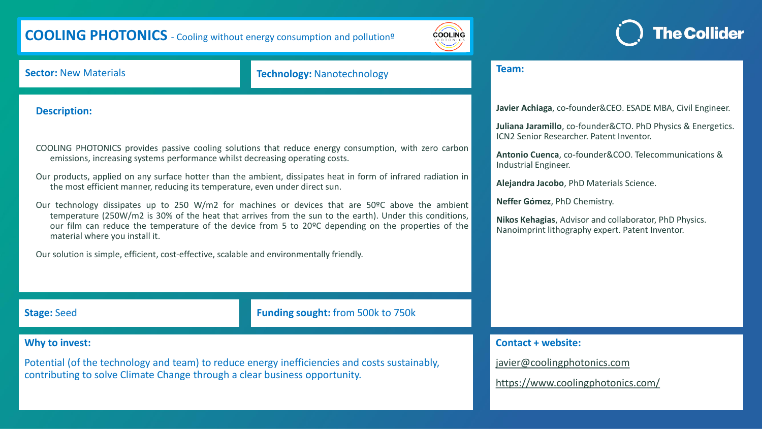# **COOLING PHOTONICS** - Cooling without energy consumption and pollutionº



### **Sector:** New Materials **Technology:** Nanotechnology

### **Description:**

COOLING PHOTONICS provides passive cooling solutions that reduce energy consumption, with zero carbon emissions, increasing systems performance whilst decreasing operating costs.

Our products, applied on any surface hotter than the ambient, dissipates heat in form of infrared radiation in the most efficient manner, reducing its temperature, even under direct sun.

Our technology dissipates up to 250 W/m2 for machines or devices that are 50°C above the ambient temperature (250W/m2 is 30% of the heat that arrives from the sun to the earth). Under this conditions, our film can reduce the temperature of the device from 5 to 20ºC depending on the properties of the material where you install it.

Our solution is simple, efficient, cost-effective, scalable and environmentally friendly.

**Stage:** Seed **Funding sought:** from 500k to 750k

### **Why to invest:**

Potential (of the technology and team) to reduce energy inefficiencies and costs sustainably, contributing to solve Climate Change through a clear business opportunity.

**Team:**

**Javier Achiaga**, co-founder&CEO. ESADE MBA, Civil Engineer.

**Juliana Jaramillo**, co-founder&CTO. PhD Physics & Energetics. ICN2 Senior Researcher. Patent Inventor.

**Antonio Cuenca**, co-founder&COO. Telecommunications & Industrial Engineer.

**Alejandra Jacobo**, PhD Materials Science.

**Neffer Gómez**, PhD Chemistry.

**Nikos Kehagias**, Advisor and collaborator, PhD Physics. Nanoimprint lithography expert. Patent Inventor.

**Contact + website:** 

[javier@coolingphotonics.com](mailto:javier@coolingphotonics.com)

<https://www.coolingphotonics.com/>

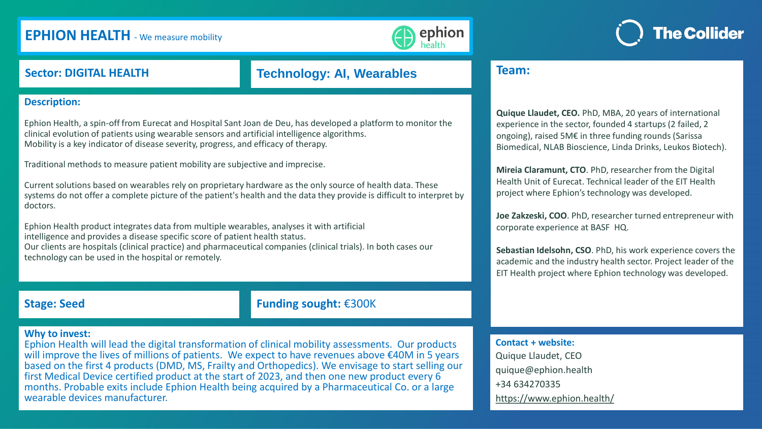# **EPHION HEALTH** - We measure mobility



## **Sector: DIGITAL HEALTH Technology: AI, Wearables**

#### **Description:**

Ephion Health, a spin-off from Eurecat and Hospital Sant Joan de Deu, has developed a platform to monitor the clinical evolution of patients using wearable sensors and artificial intelligence algorithms. Mobility is a key indicator of disease severity, progress, and efficacy of therapy.

Traditional methods to measure patient mobility are subjective and imprecise.

Current solutions based on wearables rely on proprietary hardware as the only source of health data. These systems do not offer a complete picture of the patient's health and the data they provide is difficult to interpret by doctors.

Ephion Health product integrates data from multiple wearables, analyses it with artificial intelligence and provides a disease specific score of patient health status. Our clients are hospitals (clinical practice) and pharmaceutical companies (clinical trials). In both cases our technology can be used in the hospital or remotely.

**Stage: Seed Funding sought:** €300K

#### **Why to invest:**

Ephion Health will lead the digital transformation of clinical mobility assessments. Our products will improve the lives of millions of patients. We expect to have revenues above €40M in 5 years based on the first 4 products (DMD, MS, Frailty and Orthopedics). We envisage to start selling our first Medical Device certified product at the start of 2023, and then one new product every 6 months. Probable exits include Ephion Health being acquired by a Pharmaceutical Co. or a large wearable devices manufacturer.

### **Team:**

**Quique Llaudet, CEO.** PhD, MBA, 20 years of international experience in the sector, founded 4 startups (2 failed, 2 ongoing), raised 5M€ in three funding rounds (Sarissa Biomedical, NLAB Bioscience, Linda Drinks, Leukos Biotech).

**The Collider** 

**Mireia Claramunt, CTO**. PhD, researcher from the Digital Health Unit of Eurecat. Technical leader of the EIT Health project where Ephion's technology was developed.

**Joe Zakzeski, COO**. PhD, researcher turned entrepreneur with corporate experience at BASF HQ.

**Sebastian Idelsohn, CSO**. PhD, his work experience covers the academic and the industry health sector. Project leader of the EIT Health project where Ephion technology was developed.

#### **Contact + website:**

Quique Llaudet, CEO quique@ephion.health +34 634270335 <https://www.ephion.health/>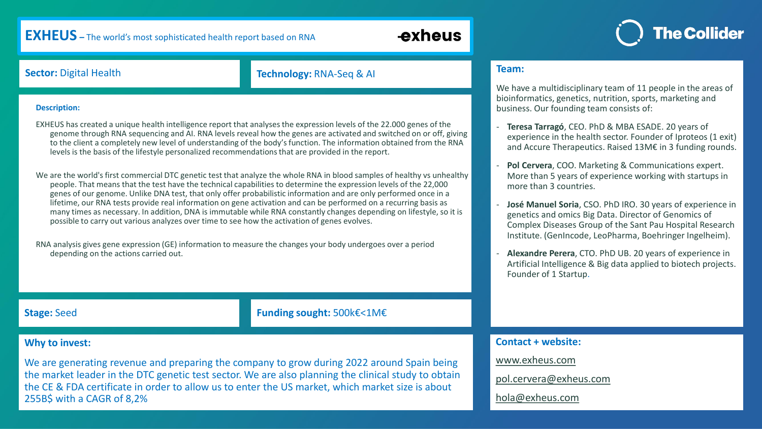## **EXHEUS –** The world's most sophisticated health report based on RNA

# exheus

# **The Collider**

**Sector:** Digital Health **Technology:** RNA-Seq & AI

#### **Description:**

EXHEUS has created a unique health intelligence report that analyses the expression levels of the 22.000 genes of the genome through RNA sequencing and AI. RNA levels reveal how the genes are activated and switched on or off, giving to the client a completely new level of understanding of the body's function. The information obtained from the RNA levels is the basis of the lifestyle personalized recommendations that are provided in the report.

We are the world's first commercial DTC genetic test that analyze the whole RNA in blood samples of healthy vs unhealthy people. That means that the test have the technical capabilities to determine the expression levels of the 22,000 genes of our genome. Unlike DNA test, that only offer probabilistic information and are only performed once in a lifetime, our RNA tests provide real information on gene activation and can be performed on a recurring basis as many times as necessary. In addition, DNA is immutable while RNA constantly changes depending on lifestyle, so it is possible to carry out various analyzes over time to see how the activation of genes evolves.

RNA analysis gives gene expression (GE) information to measure the changes your body undergoes over a period depending on the actions carried out.

### **Stage:** Seed **Funding sought:** 500k€<1M€

#### **Why to invest:**

We are generating revenue and preparing the company to grow during 2022 around Spain being the market leader in the DTC genetic test sector. We are also planning the clinical study to obtain the CE & FDA certificate in order to allow us to enter the US market, which market size is about 255B\$ with a CAGR of 8,2%

#### **Team:**

We have a multidisciplinary team of 11 people in the areas of bioinformatics, genetics, nutrition, sports, marketing and business. Our founding team consists of:

- **Teresa Tarragó**, CEO. PhD & MBA ESADE. 20 years of experience in the health sector. Founder of Iproteos (1 exit) and Accure Therapeutics. Raised 13M€ in 3 funding rounds.
- **Pol Cervera**, COO. Marketing & Communications expert. More than 5 years of experience working with startups in more than 3 countries.
- **José Manuel Soria**, CSO. PhD IRO. 30 years of experience in genetics and omics Big Data. Director of Genomics of Complex Diseases Group of the Sant Pau Hospital Research Institute. (GenIncode, LeoPharma, Boehringer Ingelheim).
- **Alexandre Perera**, CTO. PhD UB. 20 years of experience in Artificial Intelligence & Big data applied to biotech projects. Founder of 1 Startup.

### **Contact + website:**

[www.exheus.com](http://www.exheus.com/)

[pol.cervera@exheus.com](mailto:Pol.cervera@exheus.com)

[hola@exheus.com](mailto:hola@exheus.com)